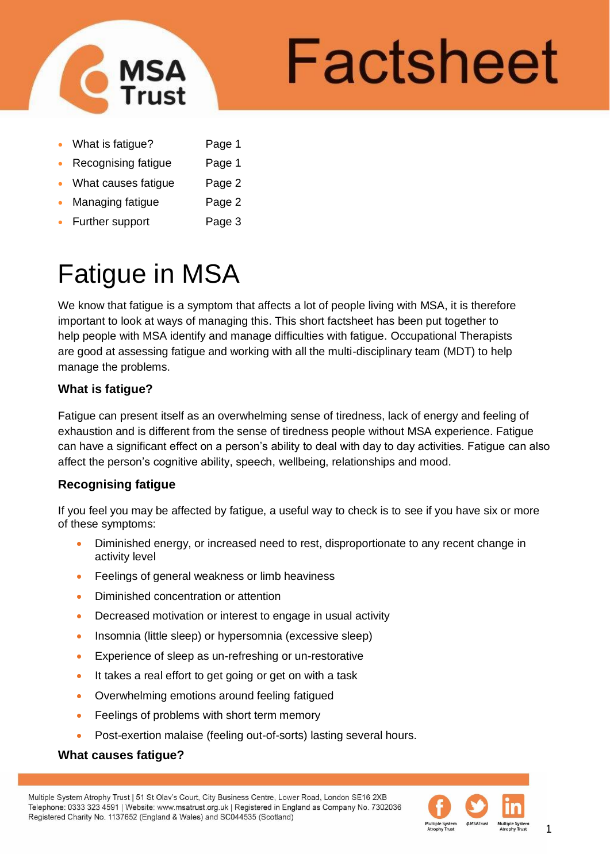

# Factsheet

- What is fatigue? Page 1
- Recognising fatigue Page 1
- What causes fatigue Page 2
- Managing fatigue Page 2
- Further support Page 3

# Fatigue in MSA

We know that fatigue is a symptom that affects a lot of people living with MSA, it is therefore important to look at ways of managing this. This short factsheet has been put together to help people with MSA identify and manage difficulties with fatigue. Occupational Therapists are good at assessing fatigue and working with all the multi-disciplinary team (MDT) to help manage the problems.

### **What is fatigue?**

Fatigue can present itself as an overwhelming sense of tiredness, lack of energy and feeling of exhaustion and is different from the sense of tiredness people without MSA experience. Fatigue can have a significant effect on a person's ability to deal with day to day activities. Fatigue can also affect the person's cognitive ability, speech, wellbeing, relationships and mood.

## **Recognising fatigue**

If you feel you may be affected by fatigue, a useful way to check is to see if you have six or more of these symptoms:

- Diminished energy, or increased need to rest, disproportionate to any recent change in activity level
- Feelings of general weakness or limb heaviness
- Diminished concentration or attention
- Decreased motivation or interest to engage in usual activity
- Insomnia (little sleep) or hypersomnia (excessive sleep)
- Experience of sleep as un-refreshing or un-restorative
- It takes a real effort to get going or get on with a task
- Overwhelming emotions around feeling fatigued
- Feelings of problems with short term memory
- Post-exertion malaise (feeling out-of-sorts) lasting several hours.

#### **What causes fatigue?**

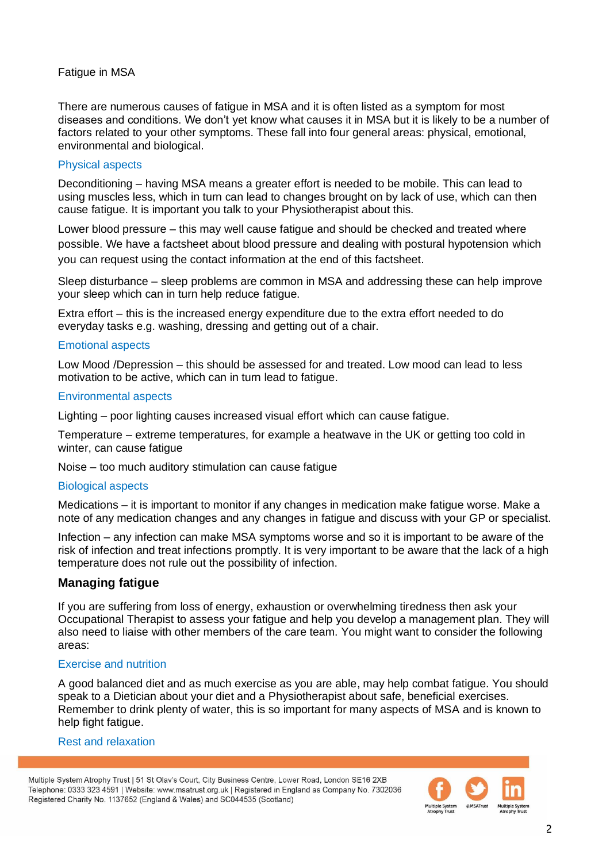#### Fatigue in MSA

There are numerous causes of fatigue in MSA and it is often listed as a symptom for most diseases and conditions. We don't yet know what causes it in MSA but it is likely to be a number of factors related to your other symptoms. These fall into four general areas: physical, emotional, environmental and biological.

#### Physical aspects

Deconditioning – having MSA means a greater effort is needed to be mobile. This can lead to using muscles less, which in turn can lead to changes brought on by lack of use, which can then cause fatigue. It is important you talk to your Physiotherapist about this.

Lower blood pressure – this may well cause fatigue and should be checked and treated where possible. We have a factsheet about blood pressure and dealing with postural hypotension which you can request using the contact information at the end of this factsheet.

Sleep disturbance – sleep problems are common in MSA and addressing these can help improve your sleep which can in turn help reduce fatigue.

Extra effort – this is the increased energy expenditure due to the extra effort needed to do everyday tasks e.g. washing, dressing and getting out of a chair.

#### Emotional aspects

Low Mood /Depression – this should be assessed for and treated. Low mood can lead to less motivation to be active, which can in turn lead to fatigue.

#### Environmental aspects

Lighting – poor lighting causes increased visual effort which can cause fatigue.

Temperature – extreme temperatures, for example a heatwave in the UK or getting too cold in winter, can cause fatigue

Noise – too much auditory stimulation can cause fatigue

#### Biological aspects

Medications – it is important to monitor if any changes in medication make fatigue worse. Make a note of any medication changes and any changes in fatigue and discuss with your GP or specialist.

Infection – any infection can make MSA symptoms worse and so it is important to be aware of the risk of infection and treat infections promptly. It is very important to be aware that the lack of a high temperature does not rule out the possibility of infection.

#### **Managing fatigue**

If you are suffering from loss of energy, exhaustion or overwhelming tiredness then ask your Occupational Therapist to assess your fatigue and help you develop a management plan. They will also need to liaise with other members of the care team. You might want to consider the following areas:

#### Exercise and nutrition

A good balanced diet and as much exercise as you are able, may help combat fatigue. You should speak to a Dietician about your diet and a Physiotherapist about safe, beneficial exercises. Remember to drink plenty of water, this is so important for many aspects of MSA and is known to help fight fatigue.

#### Rest and relaxation

Multiple System Atrophy Trust | 51 St Olav's Court, City Business Centre, Lower Road, London SE16 2XB Telephone: 0333 323 4591 | Website: www.msatrust.org.uk | Registered in England as Company No. 7302036 Registered Charity No. 1137652 (England & Wales) and SC044535 (Scotland)

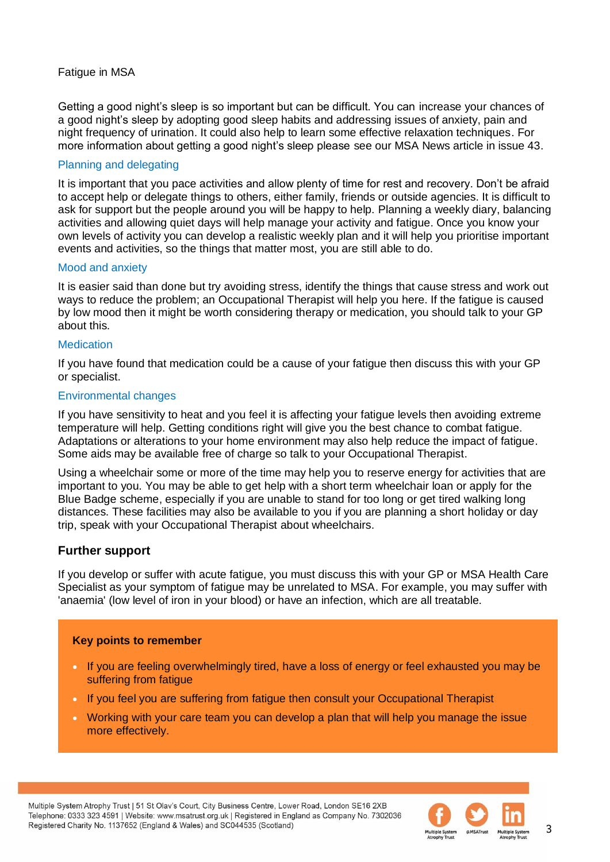#### Fatigue in MSA

Getting a good night's sleep is so important but can be difficult. You can increase your chances of a good night's sleep by adopting good sleep habits and addressing issues of anxiety, pain and night frequency of urination. It could also help to learn some effective relaxation techniques. For more information about getting a good night's sleep please see our MSA News article in issue 43.

#### Planning and delegating

It is important that you pace activities and allow plenty of time for rest and recovery. Don't be afraid to accept help or delegate things to others, either family, friends or outside agencies. It is difficult to ask for support but the people around you will be happy to help. Planning a weekly diary, balancing activities and allowing quiet days will help manage your activity and fatigue. Once you know your own levels of activity you can develop a realistic weekly plan and it will help you prioritise important events and activities, so the things that matter most, you are still able to do.

#### Mood and anxiety

It is easier said than done but try avoiding stress, identify the things that cause stress and work out ways to reduce the problem; an Occupational Therapist will help you here. If the fatigue is caused by low mood then it might be worth considering therapy or medication, you should talk to your GP about this.

#### **Medication**

If you have found that medication could be a cause of your fatigue then discuss this with your GP or specialist.

#### Environmental changes

If you have sensitivity to heat and you feel it is affecting your fatigue levels then avoiding extreme temperature will help. Getting conditions right will give you the best chance to combat fatigue. Adaptations or alterations to your home environment may also help reduce the impact of fatigue. Some aids may be available free of charge so talk to your Occupational Therapist.

Using a wheelchair some or more of the time may help you to reserve energy for activities that are important to you. You may be able to get help with a short term wheelchair loan or apply for the Blue Badge scheme, especially if you are unable to stand for too long or get tired walking long distances. These facilities may also be available to you if you are planning a short holiday or day trip, speak with your Occupational Therapist about wheelchairs.

#### **Further support**

If you develop or suffer with acute fatigue, you must discuss this with your GP or MSA Health Care Specialist as your symptom of fatigue may be unrelated to MSA. For example, you may suffer with 'anaemia' (low level of iron in your blood) or have an infection, which are all treatable.

#### **Key points to remember**

- If you are feeling overwhelmingly tired, have a loss of energy or feel exhausted you may be suffering from fatigue
- If you feel you are suffering from fatigue then consult your Occupational Therapist
- Working with your care team you can develop a plan that will help you manage the issue more effectively.



3